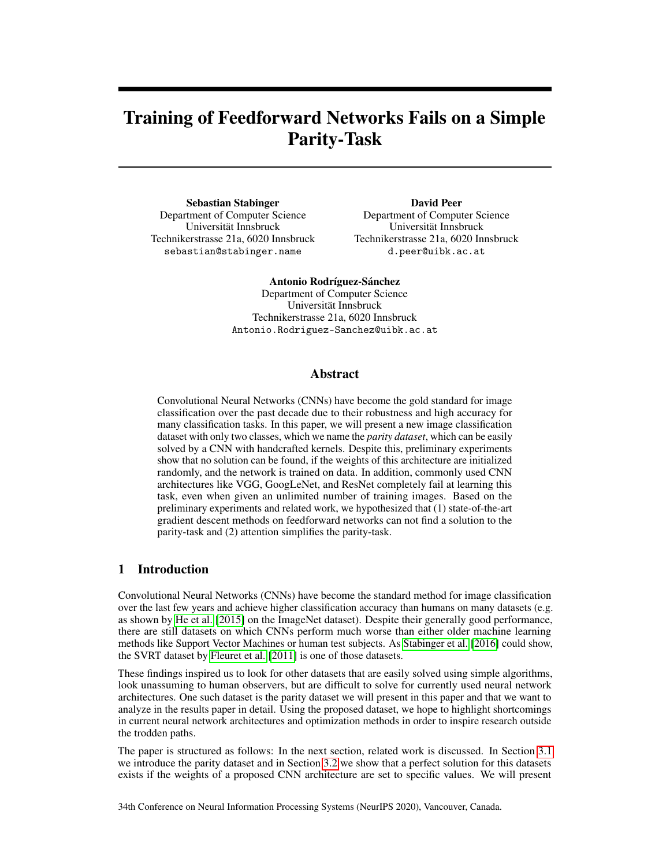# Training of Feedforward Networks Fails on a Simple Parity-Task

Sebastian Stabinger Department of Computer Science Universität Innsbruck Technikerstrasse 21a, 6020 Innsbruck sebastian@stabinger.name

David Peer Department of Computer Science Universität Innsbruck Technikerstrasse 21a, 6020 Innsbruck d.peer@uibk.ac.at

Antonio Rodríguez-Sánchez Department of Computer Science Universität Innsbruck Technikerstrasse 21a, 6020 Innsbruck Antonio.Rodriguez-Sanchez@uibk.ac.at

# Abstract

Convolutional Neural Networks (CNNs) have become the gold standard for image classification over the past decade due to their robustness and high accuracy for many classification tasks. In this paper, we will present a new image classification dataset with only two classes, which we name the *parity dataset*, which can be easily solved by a CNN with handcrafted kernels. Despite this, preliminary experiments show that no solution can be found, if the weights of this architecture are initialized randomly, and the network is trained on data. In addition, commonly used CNN architectures like VGG, GoogLeNet, and ResNet completely fail at learning this task, even when given an unlimited number of training images. Based on the preliminary experiments and related work, we hypothesized that (1) state-of-the-art gradient descent methods on feedforward networks can not find a solution to the parity-task and (2) attention simplifies the parity-task.

## 1 Introduction

Convolutional Neural Networks (CNNs) have become the standard method for image classification over the last few years and achieve higher classification accuracy than humans on many datasets (e.g. as shown by [He et al.](#page-6-0) [\[2015\]](#page-6-0) on the ImageNet dataset). Despite their generally good performance, there are still datasets on which CNNs perform much worse than either older machine learning methods like Support Vector Machines or human test subjects. As [Stabinger et al.](#page-6-1) [\[2016\]](#page-6-1) could show, the SVRT dataset by [Fleuret et al.](#page-5-0) [\[2011\]](#page-5-0) is one of those datasets.

These findings inspired us to look for other datasets that are easily solved using simple algorithms, look unassuming to human observers, but are difficult to solve for currently used neural network architectures. One such dataset is the parity dataset we will present in this paper and that we want to analyze in the results paper in detail. Using the proposed dataset, we hope to highlight shortcomings in current neural network architectures and optimization methods in order to inspire research outside the trodden paths.

The paper is structured as follows: In the next section, related work is discussed. In Section [3.1](#page-1-0) we introduce the parity dataset and in Section [3.2](#page-2-0) we show that a perfect solution for this datasets exists if the weights of a proposed CNN architecture are set to specific values. We will present

34th Conference on Neural Information Processing Systems (NeurIPS 2020), Vancouver, Canada.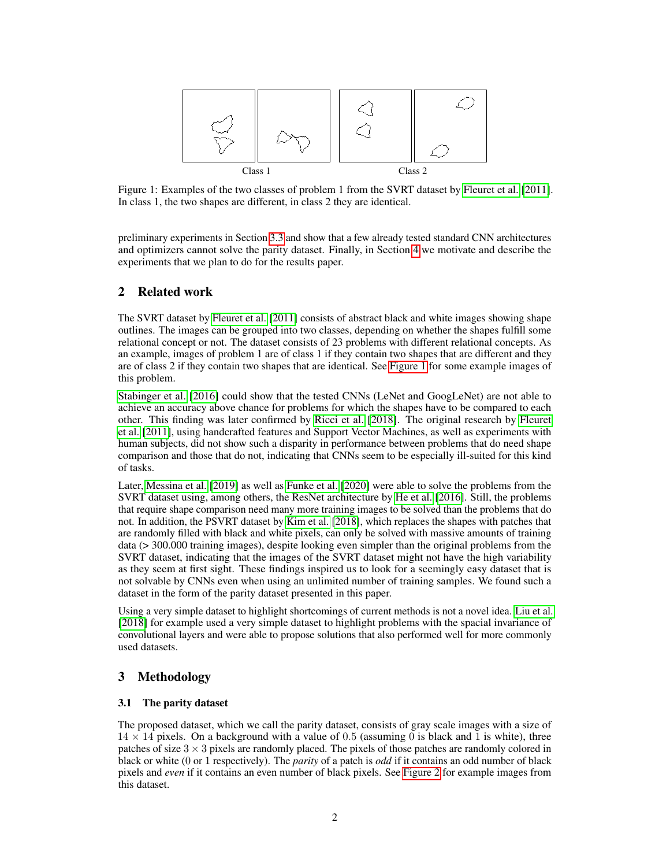<span id="page-1-1"></span>

Figure 1: Examples of the two classes of problem 1 from the SVRT dataset by [Fleuret et al.](#page-5-0) [\[2011\]](#page-5-0). In class 1, the two shapes are different, in class 2 they are identical.

preliminary experiments in Section [3.3](#page-3-0) and show that a few already tested standard CNN architectures and optimizers cannot solve the parity dataset. Finally, in Section [4](#page-4-0) we motivate and describe the experiments that we plan to do for the results paper.

# 2 Related work

The SVRT dataset by [Fleuret et al.](#page-5-0) [\[2011\]](#page-5-0) consists of abstract black and white images showing shape outlines. The images can be grouped into two classes, depending on whether the shapes fulfill some relational concept or not. The dataset consists of 23 problems with different relational concepts. As an example, images of problem 1 are of class 1 if they contain two shapes that are different and they are of class 2 if they contain two shapes that are identical. See [Figure 1](#page-1-1) for some example images of this problem.

[Stabinger et al.](#page-6-1) [\[2016\]](#page-6-1) could show that the tested CNNs (LeNet and GoogLeNet) are not able to achieve an accuracy above chance for problems for which the shapes have to be compared to each other. This finding was later confirmed by [Ricci et al.](#page-6-2) [\[2018\]](#page-6-2). The original research by [Fleuret](#page-5-0) [et al.](#page-5-0) [\[2011\]](#page-5-0), using handcrafted features and Support Vector Machines, as well as experiments with human subjects, did not show such a disparity in performance between problems that do need shape comparison and those that do not, indicating that CNNs seem to be especially ill-suited for this kind of tasks.

Later, [Messina et al.](#page-6-3) [\[2019\]](#page-6-3) as well as [Funke et al.](#page-5-1) [\[2020\]](#page-5-1) were able to solve the problems from the SVRT dataset using, among others, the ResNet architecture by [He et al.](#page-6-4) [\[2016\]](#page-6-4). Still, the problems that require shape comparison need many more training images to be solved than the problems that do not. In addition, the PSVRT dataset by [Kim et al.](#page-6-5) [\[2018\]](#page-6-5), which replaces the shapes with patches that are randomly filled with black and white pixels, can only be solved with massive amounts of training data (> 300.000 training images), despite looking even simpler than the original problems from the SVRT dataset, indicating that the images of the SVRT dataset might not have the high variability as they seem at first sight. These findings inspired us to look for a seemingly easy dataset that is not solvable by CNNs even when using an unlimited number of training samples. We found such a dataset in the form of the parity dataset presented in this paper.

Using a very simple dataset to highlight shortcomings of current methods is not a novel idea. [Liu et al.](#page-6-6) [\[2018\]](#page-6-6) for example used a very simple dataset to highlight problems with the spacial invariance of convolutional layers and were able to propose solutions that also performed well for more commonly used datasets.

# 3 Methodology

## <span id="page-1-0"></span>3.1 The parity dataset

The proposed dataset, which we call the parity dataset, consists of gray scale images with a size of  $14 \times 14$  pixels. On a background with a value of 0.5 (assuming 0 is black and 1 is white), three patches of size  $3 \times 3$  pixels are randomly placed. The pixels of those patches are randomly colored in black or white (0 or 1 respectively). The *parity* of a patch is *odd* if it contains an odd number of black pixels and *even* if it contains an even number of black pixels. See [Figure 2](#page-2-1) for example images from this dataset.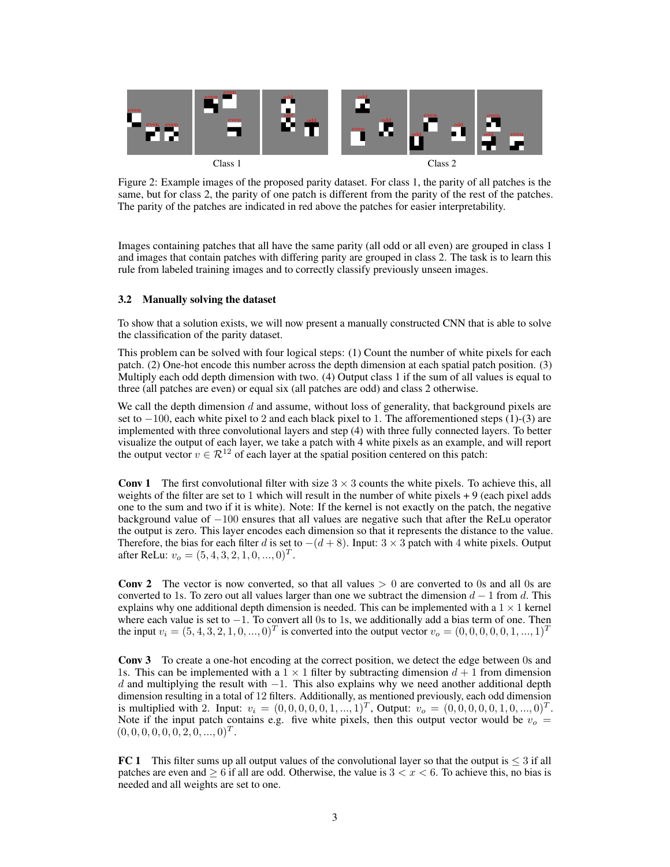<span id="page-2-1"></span>

Figure 2: Example images of the proposed parity dataset. For class 1, the parity of all patches is the same, but for class 2, the parity of one patch is different from the parity of the rest of the patches. The parity of the patches are indicated in red above the patches for easier interpretability.

Images containing patches that all have the same parity (all odd or all even) are grouped in class 1 and images that contain patches with differing parity are grouped in class 2. The task is to learn this rule from labeled training images and to correctly classify previously unseen images.

#### <span id="page-2-0"></span>3.2 Manually solving the dataset

To show that a solution exists, we will now present a manually constructed CNN that is able to solve the classification of the parity dataset.

This problem can be solved with four logical steps: (1) Count the number of white pixels for each patch. (2) One-hot encode this number across the depth dimension at each spatial patch position. (3) Multiply each odd depth dimension with two. (4) Output class 1 if the sum of all values is equal to three (all patches are even) or equal six (all patches are odd) and class 2 otherwise.

We call the depth dimension d and assume, without loss of generality, that background pixels are set to  $-100$ , each white pixel to 2 and each black pixel to 1. The afforementioned steps (1)-(3) are implemented with three convolutional layers and step (4) with three fully connected layers. To better visualize the output of each layer, we take a patch with 4 white pixels as an example, and will report the output vector  $v \in \mathcal{R}^{12}$  of each layer at the spatial position centered on this patch:

**Conv 1** The first convolutional filter with size  $3 \times 3$  counts the white pixels. To achieve this, all weights of the filter are set to 1 which will result in the number of white pixels + 9 (each pixel adds one to the sum and two if it is white). Note: If the kernel is not exactly on the patch, the negative background value of −100 ensures that all values are negative such that after the ReLu operator the output is zero. This layer encodes each dimension so that it represents the distance to the value. Therefore, the bias for each filter d is set to  $-(d+8)$ . Input: 3 × 3 patch with 4 white pixels. Output after ReLu:  $v_o = (5, 4, 3, 2, 1, 0, ..., 0)^T$ .

**Conv 2** The vector is now converted, so that all values  $> 0$  are converted to 0s and all 0s are converted to 1s. To zero out all values larger than one we subtract the dimension  $d-1$  from d. This explains why one additional depth dimension is needed. This can be implemented with a  $1 \times 1$  kernel where each value is set to −1. To convert all 0s to 1s, we additionally add a bias term of one. Then the input  $v_i = (5, 4, 3, 2, 1, 0, ..., 0)^T$  is converted into the output vector  $v_o = (0, 0, 0, 0, 0, 1, ..., 1)^T$ 

Conv 3 To create a one-hot encoding at the correct position, we detect the edge between 0s and 1s. This can be implemented with a  $1 \times 1$  filter by subtracting dimension  $d + 1$  from dimension d and multiplying the result with  $-1$ . This also explains why we need another additional depth dimension resulting in a total of 12 filters. Additionally, as mentioned previously, each odd dimension is multiplied with 2. Input:  $v_i = (0, 0, 0, 0, 0, 1, ..., 1)^T$ , Output:  $v_o = (0, 0, 0, 0, 0, 1, 0, ..., 0)^T$ . Note if the input patch contains e.g. five white pixels, then this output vector would be  $v_0 =$  $(0, 0, 0, 0, 0, 0, 2, 0, \ldots, 0)^T$ .

FC 1 This filter sums up all output values of the convolutional layer so that the output is  $\leq$  3 if all patches are even and  $\geq 6$  if all are odd. Otherwise, the value is  $3 < x < 6$ . To achieve this, no bias is needed and all weights are set to one.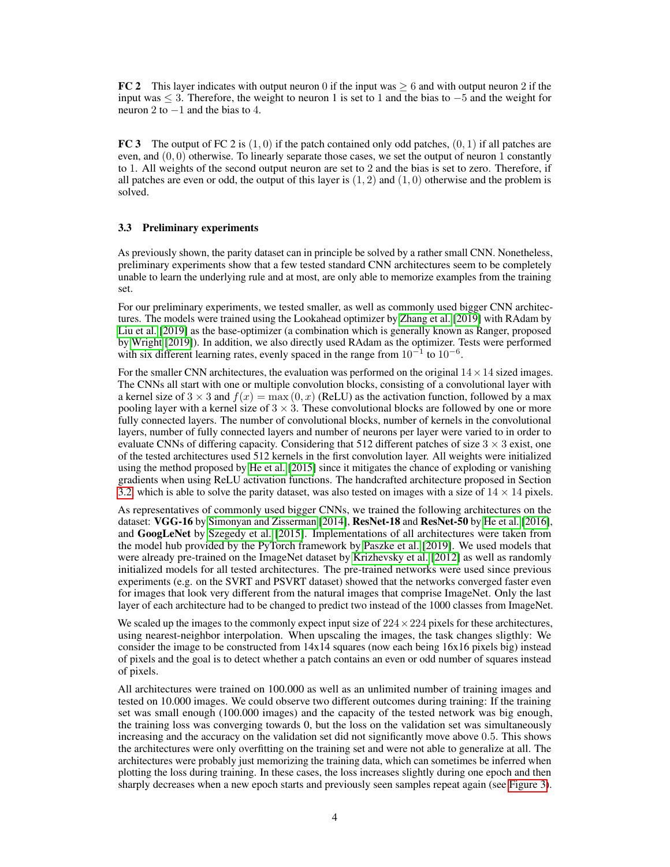**FC 2** This layer indicates with output neuron 0 if the input was  $> 6$  and with output neuron 2 if the input was  $\leq 3$ . Therefore, the weight to neuron 1 is set to 1 and the bias to  $-5$  and the weight for neuron 2 to −1 and the bias to 4.

**FC 3** The output of FC 2 is  $(1, 0)$  if the patch contained only odd patches,  $(0, 1)$  if all patches are even, and  $(0, 0)$  otherwise. To linearly separate those cases, we set the output of neuron 1 constantly to 1. All weights of the second output neuron are set to 2 and the bias is set to zero. Therefore, if all patches are even or odd, the output of this layer is  $(1, 2)$  and  $(1, 0)$  otherwise and the problem is solved.

#### <span id="page-3-0"></span>3.3 Preliminary experiments

As previously shown, the parity dataset can in principle be solved by a rather small CNN. Nonetheless, preliminary experiments show that a few tested standard CNN architectures seem to be completely unable to learn the underlying rule and at most, are only able to memorize examples from the training set.

For our preliminary experiments, we tested smaller, as well as commonly used bigger CNN architectures. The models were trained using the Lookahead optimizer by [Zhang et al.](#page-6-7) [\[2019\]](#page-6-7) with RAdam by [Liu et al.](#page-6-8) [\[2019\]](#page-6-8) as the base-optimizer (a combination which is generally known as Ranger, proposed by [Wright](#page-6-9) [\[2019\]](#page-6-9)). In addition, we also directly used RAdam as the optimizer. Tests were performed with six different learning rates, evenly spaced in the range from  $10^{-1}$  to  $10^{-6}$ .

For the smaller CNN architectures, the evaluation was performed on the original  $14 \times 14$  sized images. The CNNs all start with one or multiple convolution blocks, consisting of a convolutional layer with a kernel size of  $3 \times 3$  and  $f(x) = \max(0, x)$  (ReLU) as the activation function, followed by a max pooling layer with a kernel size of  $3 \times 3$ . These convolutional blocks are followed by one or more fully connected layers. The number of convolutional blocks, number of kernels in the convolutional layers, number of fully connected layers and number of neurons per layer were varied to in order to evaluate CNNs of differing capacity. Considering that 512 different patches of size  $3 \times 3$  exist, one of the tested architectures used 512 kernels in the first convolution layer. All weights were initialized using the method proposed by [He et al.](#page-6-10) [\[2015\]](#page-6-10) since it mitigates the chance of exploding or vanishing gradients when using ReLU activation functions. The handcrafted architecture proposed in Section [3.2,](#page-2-0) which is able to solve the parity dataset, was also tested on images with a size of  $14 \times 14$  pixels.

As representatives of commonly used bigger CNNs, we trained the following architectures on the dataset: VGG-16 by [Simonyan and Zisserman](#page-6-11) [\[2014\]](#page-6-11), ResNet-18 and ResNet-50 by [He et al.](#page-6-4) [\[2016\]](#page-6-4), and GoogLeNet by [Szegedy et al.](#page-6-12) [\[2015\]](#page-6-12). Implementations of all architectures were taken from the model hub provided by the PyTorch framework by [Paszke et al.](#page-6-13) [\[2019\]](#page-6-13). We used models that were already pre-trained on the ImageNet dataset by [Krizhevsky et al.](#page-6-14) [\[2012\]](#page-6-14) as well as randomly initialized models for all tested architectures. The pre-trained networks were used since previous experiments (e.g. on the SVRT and PSVRT dataset) showed that the networks converged faster even for images that look very different from the natural images that comprise ImageNet. Only the last layer of each architecture had to be changed to predict two instead of the 1000 classes from ImageNet.

We scaled up the images to the commonly expect input size of  $224 \times 224$  pixels for these architectures, using nearest-neighbor interpolation. When upscaling the images, the task changes sligthly: We consider the image to be constructed from  $14x14$  squares (now each being  $16x16$  pixels big) instead of pixels and the goal is to detect whether a patch contains an even or odd number of squares instead of pixels.

All architectures were trained on 100.000 as well as an unlimited number of training images and tested on 10.000 images. We could observe two different outcomes during training: If the training set was small enough (100.000 images) and the capacity of the tested network was big enough, the training loss was converging towards 0, but the loss on the validation set was simultaneously increasing and the accuracy on the validation set did not significantly move above 0.5. This shows the architectures were only overfitting on the training set and were not able to generalize at all. The architectures were probably just memorizing the training data, which can sometimes be inferred when plotting the loss during training. In these cases, the loss increases slightly during one epoch and then sharply decreases when a new epoch starts and previously seen samples repeat again (see [Figure 3\)](#page-4-1).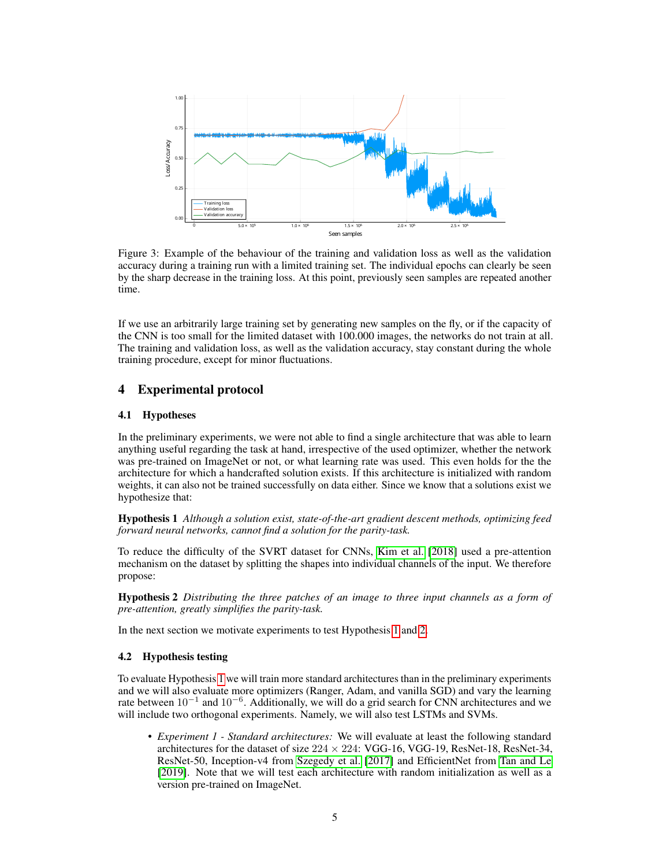<span id="page-4-1"></span>

Figure 3: Example of the behaviour of the training and validation loss as well as the validation accuracy during a training run with a limited training set. The individual epochs can clearly be seen by the sharp decrease in the training loss. At this point, previously seen samples are repeated another time.

If we use an arbitrarily large training set by generating new samples on the fly, or if the capacity of the CNN is too small for the limited dataset with 100.000 images, the networks do not train at all. The training and validation loss, as well as the validation accuracy, stay constant during the whole training procedure, except for minor fluctuations.

# <span id="page-4-0"></span>4 Experimental protocol

#### 4.1 Hypotheses

In the preliminary experiments, we were not able to find a single architecture that was able to learn anything useful regarding the task at hand, irrespective of the used optimizer, whether the network was pre-trained on ImageNet or not, or what learning rate was used. This even holds for the the architecture for which a handcrafted solution exists. If this architecture is initialized with random weights, it can also not be trained successfully on data either. Since we know that a solutions exist we hypothesize that:

<span id="page-4-2"></span>Hypothesis 1 *Although a solution exist, state-of-the-art gradient descent methods, optimizing feed forward neural networks, cannot find a solution for the parity-task.*

<span id="page-4-3"></span>To reduce the difficulty of the SVRT dataset for CNNs, [Kim et al.](#page-6-5) [\[2018\]](#page-6-5) used a pre-attention mechanism on the dataset by splitting the shapes into individual channels of the input. We therefore propose:

Hypothesis 2 *Distributing the three patches of an image to three input channels as a form of pre-attention, greatly simplifies the parity-task.*

In the next section we motivate experiments to test Hypothesis [1](#page-4-2) and [2.](#page-4-3)

#### 4.2 Hypothesis testing

To evaluate Hypothesis [1](#page-4-2) we will train more standard architectures than in the preliminary experiments and we will also evaluate more optimizers (Ranger, Adam, and vanilla SGD) and vary the learning rate between 10<sup>-1</sup> and 10<sup>-6</sup>. Additionally, we will do a grid search for CNN architectures and we will include two orthogonal experiments. Namely, we will also test LSTMs and SVMs.

• *Experiment 1 - Standard architectures:* We will evaluate at least the following standard architectures for the dataset of size  $224 \times 224$ : VGG-16, VGG-19, ResNet-18, ResNet-34, ResNet-50, Inception-v4 from [Szegedy et al.](#page-6-15) [\[2017\]](#page-6-15) and EfficientNet from [Tan and Le](#page-6-16) [\[2019\]](#page-6-16). Note that we will test each architecture with random initialization as well as a version pre-trained on ImageNet.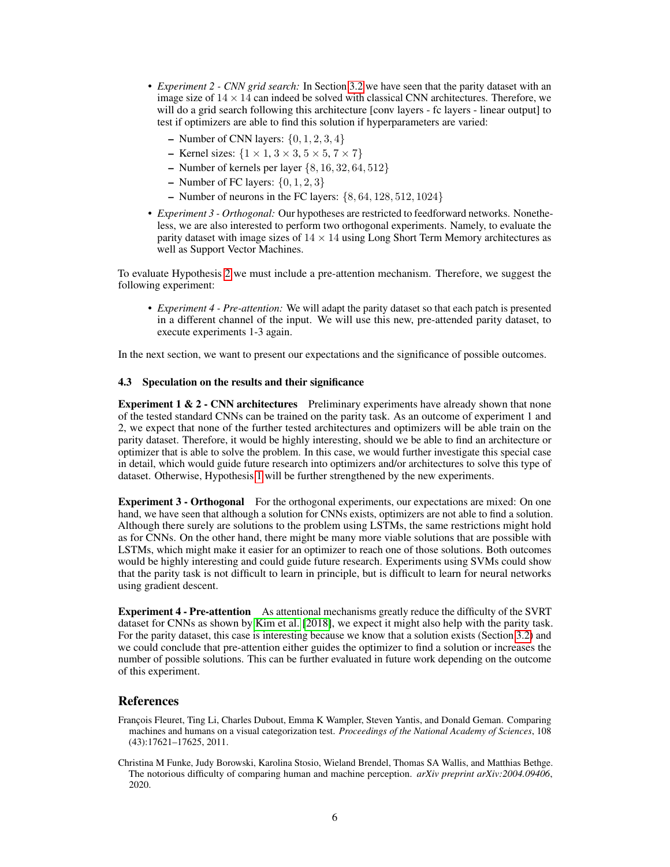- *Experiment 2 CNN grid search:* In Section [3.2](#page-2-0) we have seen that the parity dataset with an image size of  $14 \times 14$  can indeed be solved with classical CNN architectures. Therefore, we will do a grid search following this architecture  $[conv]$  layers - fc layers - linear output to test if optimizers are able to find this solution if hyperparameters are varied:
	- Number of CNN layers:  $\{0, 1, 2, 3, 4\}$
	- Kernel sizes:  $\{1 \times 1, 3 \times 3, 5 \times 5, 7 \times 7\}$
	- Number of kernels per layer  $\{8, 16, 32, 64, 512\}$
	- Number of FC layers:  $\{0, 1, 2, 3\}$
	- Number of neurons in the FC layers:  $\{8, 64, 128, 512, 1024\}$
- *Experiment 3 Orthogonal:* Our hypotheses are restricted to feedforward networks. Nonetheless, we are also interested to perform two orthogonal experiments. Namely, to evaluate the parity dataset with image sizes of  $14 \times 14$  using Long Short Term Memory architectures as well as Support Vector Machines.

To evaluate Hypothesis [2](#page-4-3) we must include a pre-attention mechanism. Therefore, we suggest the following experiment:

• *Experiment 4 - Pre-attention:* We will adapt the parity dataset so that each patch is presented in a different channel of the input. We will use this new, pre-attended parity dataset, to execute experiments 1-3 again.

In the next section, we want to present our expectations and the significance of possible outcomes.

#### 4.3 Speculation on the results and their significance

**Experiment 1 & 2 - CNN architectures** Preliminary experiments have already shown that none of the tested standard CNNs can be trained on the parity task. As an outcome of experiment 1 and 2, we expect that none of the further tested architectures and optimizers will be able train on the parity dataset. Therefore, it would be highly interesting, should we be able to find an architecture or optimizer that is able to solve the problem. In this case, we would further investigate this special case in detail, which would guide future research into optimizers and/or architectures to solve this type of dataset. Otherwise, Hypothesis [1](#page-4-2) will be further strengthened by the new experiments.

Experiment 3 - Orthogonal For the orthogonal experiments, our expectations are mixed: On one hand, we have seen that although a solution for CNNs exists, optimizers are not able to find a solution. Although there surely are solutions to the problem using LSTMs, the same restrictions might hold as for CNNs. On the other hand, there might be many more viable solutions that are possible with LSTMs, which might make it easier for an optimizer to reach one of those solutions. Both outcomes would be highly interesting and could guide future research. Experiments using SVMs could show that the parity task is not difficult to learn in principle, but is difficult to learn for neural networks using gradient descent.

Experiment 4 - Pre-attention As attentional mechanisms greatly reduce the difficulty of the SVRT dataset for CNNs as shown by [Kim et al.](#page-6-5) [\[2018\]](#page-6-5), we expect it might also help with the parity task. For the parity dataset, this case is interesting because we know that a solution exists (Section [3.2\)](#page-2-0) and we could conclude that pre-attention either guides the optimizer to find a solution or increases the number of possible solutions. This can be further evaluated in future work depending on the outcome of this experiment.

# **References**

- <span id="page-5-0"></span>François Fleuret, Ting Li, Charles Dubout, Emma K Wampler, Steven Yantis, and Donald Geman. Comparing machines and humans on a visual categorization test. *Proceedings of the National Academy of Sciences*, 108 (43):17621–17625, 2011.
- <span id="page-5-1"></span>Christina M Funke, Judy Borowski, Karolina Stosio, Wieland Brendel, Thomas SA Wallis, and Matthias Bethge. The notorious difficulty of comparing human and machine perception. *arXiv preprint arXiv:2004.09406*, 2020.